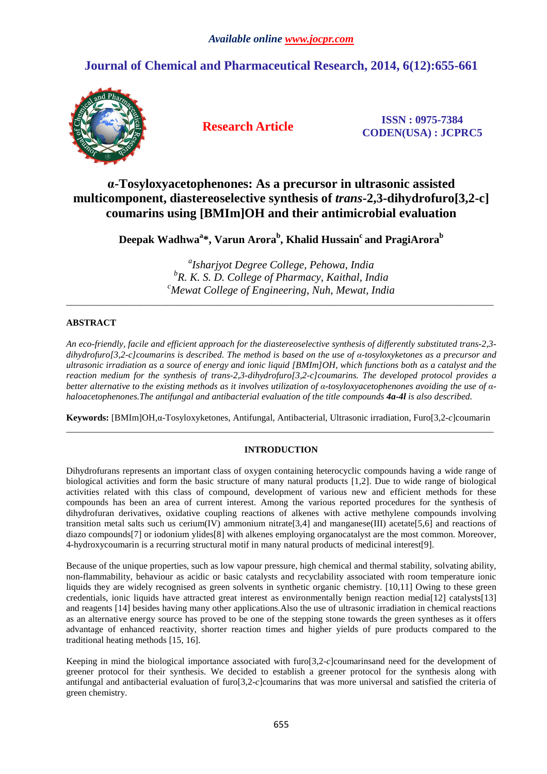# **Journal of Chemical and Pharmaceutical Research, 2014, 6(12):655-661**



**Research Article ISSN : 0975-7384 CODEN(USA) : JCPRC5**

# **α-Tosyloxyacetophenones: As a precursor in ultrasonic assisted multicomponent, diastereoselective synthesis of** *trans***-2,3-dihydrofuro[3,2-c] coumarins using [BMIm]OH and their antimicrobial evaluation**

**Deepak Wadhwa<sup>a</sup> \*, Varun Arora<sup>b</sup> , Khalid Hussain<sup>c</sup>and PragiArora<sup>b</sup>**

*a Isharjyot Degree College, Pehowa, India b R. K. S. D. College of Pharmacy, Kaithal, India <sup>c</sup>Mewat College of Engineering, Nuh, Mewat, India*

\_\_\_\_\_\_\_\_\_\_\_\_\_\_\_\_\_\_\_\_\_\_\_\_\_\_\_\_\_\_\_\_\_\_\_\_\_\_\_\_\_\_\_\_\_\_\_\_\_\_\_\_\_\_\_\_\_\_\_\_\_\_\_\_\_\_\_\_\_\_\_\_\_\_\_\_\_\_\_\_\_\_\_\_\_\_\_\_\_\_\_\_\_

## **ABSTRACT**

*An eco-friendly, facile and efficient approach for the diastereoselective synthesis of differently substituted trans-2,3 dihydrofuro[3,2-c]coumarins is described. The method is based on the use of α-tosyloxyketones as a precursor and ultrasonic irradiation as a source of energy and ionic liquid [BMIm]OH, which functions both as a catalyst and the reaction medium for the synthesis of trans-2,3-dihydrofuro[3,2-c]coumarins. The developed protocol provides a better alternative to the existing methods as it involves utilization of α-tosyloxyacetophenones avoiding the use of αhaloacetophenones.The antifungal and antibacterial evaluation of the title compounds 4a-4l is also described.* 

**Keywords:** [BMIm]OH,α-Tosyloxyketones, Antifungal, Antibacterial, Ultrasonic irradiation, Furo[3,2-*c*]coumarin \_\_\_\_\_\_\_\_\_\_\_\_\_\_\_\_\_\_\_\_\_\_\_\_\_\_\_\_\_\_\_\_\_\_\_\_\_\_\_\_\_\_\_\_\_\_\_\_\_\_\_\_\_\_\_\_\_\_\_\_\_\_\_\_\_\_\_\_\_\_\_\_\_\_\_\_\_\_\_\_\_\_\_\_\_\_\_\_\_\_\_\_\_

## **INTRODUCTION**

Dihydrofurans represents an important class of oxygen containing heterocyclic compounds having a wide range of biological activities and form the basic structure of many natural products [1,2]. Due to wide range of biological activities related with this class of compound, development of various new and efficient methods for these compounds has been an area of current interest. Among the various reported procedures for the synthesis of dihydrofuran derivatives, oxidative coupling reactions of alkenes with active methylene compounds involving transition metal salts such us cerium(IV) ammonium nitrate [3,4] and manganese(III) acetate [5,6] and reactions of diazo compounds[7] or iodonium ylides[8] with alkenes employing organocatalyst are the most common. Moreover, 4-hydroxycoumarin is a recurring structural motif in many natural products of medicinal interest[9].

Because of the unique properties, such as low vapour pressure, high chemical and thermal stability, solvating ability, non-flammability, behaviour as acidic or basic catalysts and recyclability associated with room temperature ionic liquids they are widely recognised as green solvents in synthetic organic chemistry. [10,11] Owing to these green credentials, ionic liquids have attracted great interest as environmentally benign reaction media[12] catalysts[13] and reagents [14] besides having many other applications.Also the use of ultrasonic irradiation in chemical reactions as an alternative energy source has proved to be one of the stepping stone towards the green syntheses as it offers advantage of enhanced reactivity, shorter reaction times and higher yields of pure products compared to the traditional heating methods [15, 16].

Keeping in mind the biological importance associated with furo[3,2-*c*]coumarinsand need for the development of greener protocol for their synthesis. We decided to establish a greener protocol for the synthesis along with antifungal and antibacterial evaluation of furo[3,2-*c*]coumarins that was more universal and satisfied the criteria of green chemistry.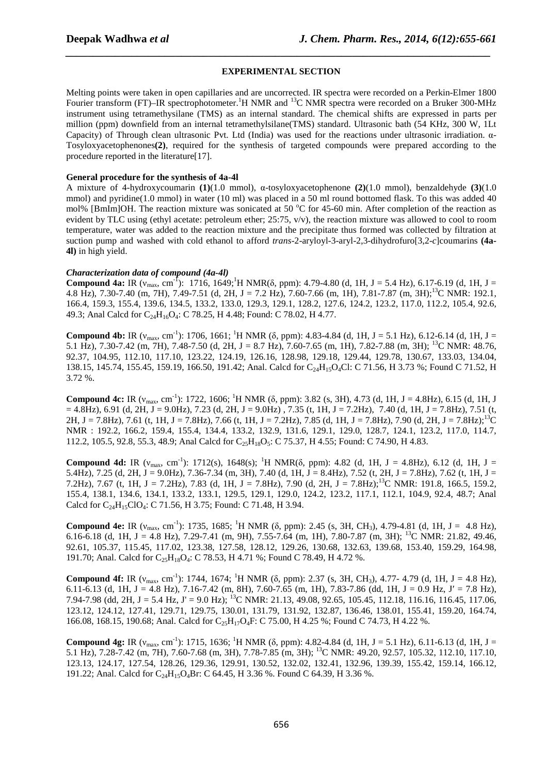## **EXPERIMENTAL SECTION**

*\_\_\_\_\_\_\_\_\_\_\_\_\_\_\_\_\_\_\_\_\_\_\_\_\_\_\_\_\_\_\_\_\_\_\_\_\_\_\_\_\_\_\_\_\_\_\_\_\_\_\_\_\_\_\_\_\_\_\_\_\_\_\_\_\_\_\_\_\_\_\_\_\_\_\_\_\_*

Melting points were taken in open capillaries and are uncorrected. IR spectra were recorded on a Perkin-Elmer 1800 Fourier transform (FT)–IR spectrophotometer.<sup>1</sup>H NMR and <sup>13</sup>C NMR spectra were recorded on a Bruker 300-MHz instrument using tetramethysilane (TMS) as an internal standard. The chemical shifts are expressed in parts per million (ppm) downfield from an internal tetramethylsilane(TMS) standard. Ultrasonic bath (54 KHz, 300 W, 1Lt Capacity) of Through clean ultrasonic Pvt. Ltd (India) was used for the reactions under ultrasonic irradiation. α-Tosyloxyacetophenones**(2)**, required for the synthesis of targeted compounds were prepared according to the procedure reported in the literature[17].

### **General procedure for the synthesis of 4a-4l**

A mixture of 4-hydroxycoumarin **(1)**(1.0 mmol), α-tosyloxyacetophenone **(2)**(1.0 mmol), benzaldehyde **(3)**(1.0 mmol) and pyridine(1.0 mmol) in water (10 ml) was placed in a 50 ml round bottomed flask. To this was added 40 mol% [BmIm]OH. The reaction mixture was sonicated at 50  $^{\circ}$ C for 45-60 min. After completion of the reaction as evident by TLC using (ethyl acetate: petroleum ether;  $25:75$ ,  $v/v$ ), the reaction mixture was allowed to cool to room temperature, water was added to the reaction mixture and the precipitate thus formed was collected by filtration at suction pump and washed with cold ethanol to afford *trans*-2-aryloyl-3-aryl-2,3-dihydrofuro[3,2-*c*]coumarins **(4a-4l)** in high yield.

## *Characterization data of compound (4a-4l)*

**Compound 4a:** IR ( $v_{\text{max}}$ , cm<sup>-1</sup>): 1716, 1649;<sup>1</sup>H NMR( $\delta$ , ppm): 4.79-4.80 (d, 1H, J = 5.4 Hz), 6.17-6.19 (d, 1H, J = 4.8 Hz), 7.30-7.40 (m, 7H), 7.49-7.51 (d, 2H, J = 7.2 Hz), 7.60-7.66 (m, 1H), 7.81-7.87 (m, 3H);<sup>13</sup>C NMR: 192.1, 166.4, 159.3, 155.4, 139.6, 134.5, 133.2, 133.0, 129.3, 129.1, 128.2, 127.6, 124.2, 123.2, 117.0, 112.2, 105.4, 92.6, 49.3; Anal Calcd for C<sub>24</sub>H<sub>16</sub>O<sub>4</sub>: C 78.25, H 4.48; Found: C 78.02, H 4.77.

**Compound 4b:** IR ( $v_{max}$ , cm<sup>-1</sup>): 1706, 1661; <sup>1</sup>H NMR ( $\delta$ , ppm): 4.83-4.84 (d, 1H, J = 5.1 Hz), 6.12-6.14 (d, 1H, J = 5.1 Hz), 7.30-7.42 (m, 7H), 7.48-7.50 (d, 2H, J = 8.7 Hz), 7.60-7.65 (m, 1H), 7.82-7.88 (m, 3H); <sup>13</sup>C NMR: 48.76, 92.37, 104.95, 112.10, 117.10, 123.22, 124.19, 126.16, 128.98, 129.18, 129.44, 129.78, 130.67, 133.03, 134.04, 138.15, 145.74, 155.45, 159.19, 166.50, 191.42; Anal. Calcd for C<sub>24</sub>H<sub>15</sub>O<sub>4</sub>Cl: C 71.56, H 3.73 %; Found C 71.52, H 3.72 %.

**Compound 4c:** IR  $(v_{\text{max}}, \text{cm}^{-1})$ : 1722, 1606; <sup>1</sup>H NMR ( $\delta$ , ppm): 3.82 (s, 3H), 4.73 (d, 1H, J = 4.8Hz), 6.15 (d, 1H, J  $= 4.8$ Hz), 6.91 (d, 2H, J = 9.0Hz), 7.23 (d, 2H, J = 9.0Hz), 7.35 (t, 1H, J = 7.2Hz), 7.40 (d, 1H, J = 7.8Hz), 7.51 (t, 2H, J = 7.8Hz), 7.61 (t, 1H, J = 7.8Hz), 7.66 (t, 1H, J = 7.2Hz), 7.85 (d, 1H, J = 7.8Hz), 7.90 (d, 2H, J = 7.8Hz);<sup>13</sup>C NMR : 192.2, 166.2, 159.4, 155.4, 134.4, 133.2, 132.9, 131.6, 129.1, 129.0, 128.7, 124.1, 123.2, 117.0, 114.7, 112.2, 105.5, 92.8, 55.3, 48.9; Anal Calcd for C<sub>25</sub>H<sub>18</sub>O<sub>5</sub>: C 75.37, H 4.55; Found: C 74.90, H 4.83.

**Compound 4d:** IR ( $v_{\text{max}}$ , cm<sup>-1</sup>): 1712(s), 1648(s); <sup>1</sup>H NMR( $\delta$ , ppm): 4.82 (d, 1H, J = 4.8Hz), 6.12 (d, 1H, J = 5.4Hz), 7.25 (d, 2H, J = 9.0Hz), 7.36-7.34 (m, 3H), 7.40 (d, 1H, J = 8.4Hz), 7.52 (t, 2H, J = 7.8Hz), 7.62 (t, 1H, J = 7.2Hz), 7.67 (t, 1H, J = 7.2Hz), 7.83 (d, 1H, J = 7.8Hz), 7.90 (d, 2H, J = 7.8Hz);<sup>13</sup>C NMR: 191.8, 166.5, 159.2, 155.4, 138.1, 134.6, 134.1, 133.2, 133.1, 129.5, 129.1, 129.0, 124.2, 123.2, 117.1, 112.1, 104.9, 92.4, 48.7; Anal Calcd for  $C_{24}H_{15}ClO_4$ : C 71.56, H 3.75; Found: C 71.48, H 3.94.

**Compound 4e:** IR ( $v_{\text{max}}$ , cm<sup>-1</sup>): 1735, 1685; <sup>1</sup>H NMR ( $\delta$ , ppm): 2.45 (s, 3H, CH<sub>3</sub>), 4.79-4.81 (d, 1H, J = 4.8 Hz), 6.16-6.18 (d, 1H, J = 4.8 Hz), 7.29-7.41 (m, 9H), 7.55-7.64 (m, 1H), 7.80-7.87 (m, 3H); <sup>13</sup>C NMR: 21.82, 49.46, 92.61, 105.37, 115.45, 117.02, 123.38, 127.58, 128.12, 129.26, 130.68, 132.63, 139.68, 153.40, 159.29, 164.98, 191.70; Anal. Calcd for C<sub>25</sub>H<sub>18</sub>O<sub>4</sub>: C 78.53, H 4.71 %; Found C 78.49, H 4.72 %.

**Compound 4f:** IR  $(v_{max}, cm^{-1})$ : 1744, 1674; <sup>1</sup>H NMR (δ, ppm): 2.37 (s, 3H, CH<sub>3</sub>), 4.77- 4.79 (d, 1H, J = 4.8 Hz), 6.11-6.13 (d, 1H, J = 4.8 Hz), 7.16-7.42 (m, 8H), 7.60-7.65 (m, 1H), 7.83-7.86 (dd, 1H, J = 0.9 Hz, J' = 7.8 Hz), 7.94-7.98 (dd, 2H, J = 5.4 Hz, J' = 9.0 Hz); <sup>13</sup>C NMR: 21.13, 49.08, 92.65, 105.45, 112.18, 116.16, 116.45, 117.06, 123.12, 124.12, 127.41, 129.71, 129.75, 130.01, 131.79, 131.92, 132.87, 136.46, 138.01, 155.41, 159.20, 164.74, 166.08, 168.15, 190.68; Anal. Calcd for C<sub>25</sub>H<sub>17</sub>O<sub>4</sub>F: C 75.00, H 4.25 %; Found C 74.73, H 4.22 %.

**Compound 4g:** IR  $(v_{\text{max}}, \text{cm}^{-1})$ : 1715, 1636; <sup>1</sup>H NMR (δ, ppm): 4.82-4.84 (d, 1H, J = 5.1 Hz), 6.11-6.13 (d, 1H, J = 5.1 Hz), 7.28-7.42 (m, 7H), 7.60-7.68 (m, 3H), 7.78-7.85 (m, 3H); <sup>13</sup>C NMR: 49.20, 92.57, 105.32, 112.10, 117.10, 123.13, 124.17, 127.54, 128.26, 129.36, 129.91, 130.52, 132.02, 132.41, 132.96, 139.39, 155.42, 159.14, 166.12, 191.22; Anal. Calcd for  $C_{24}H_{15}O_4Br$ : C 64.45, H 3.36 %. Found C 64.39, H 3.36 %.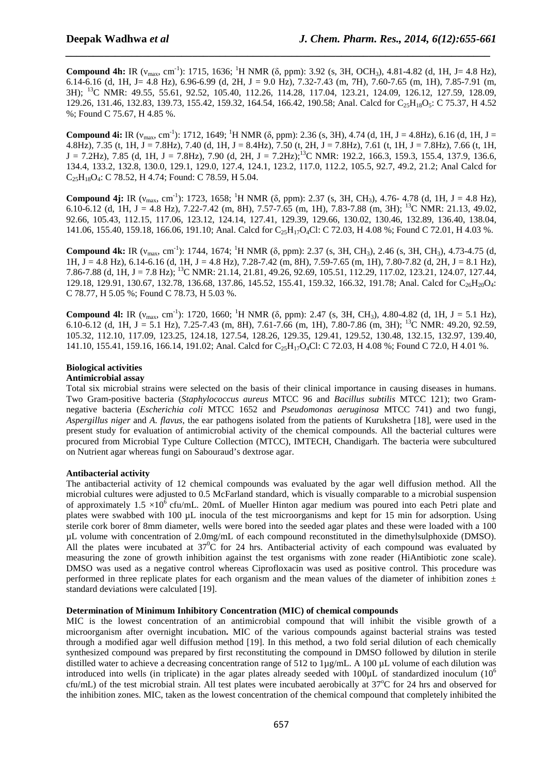**Compound 4h:** IR (ν<sub>max</sub>, cm<sup>-1</sup>): 1715, 1636; <sup>1</sup>H NMR (δ, ppm): 3.92 (s, 3H, OCH<sub>3</sub>), 4.81-4.82 (d, 1H, J= 4.8 Hz), 6.14-6.16 (d, 1H, J = 4.8 Hz), 6.96-6.99 (d, 2H, J = 9.0 Hz), 7.32-7.43 (m, 7H), 7.60-7.65 (m, 1H), 7.85-7.91 (m, 3H); <sup>13</sup>C NMR: 49.55, 55.61, 92.52, 105.40, 112.26, 114.28, 117.04, 123.21, 124.09, 126.12, 127.59, 128.09, 129.26, 131.46, 132.83, 139.73, 155.42, 159.32, 164.54, 166.42, 190.58; Anal. Calcd for C<sub>25</sub>H<sub>18</sub>O<sub>5</sub>: C 75.37, H 4.52 %; Found C 75.67, H 4.85 %.

*\_\_\_\_\_\_\_\_\_\_\_\_\_\_\_\_\_\_\_\_\_\_\_\_\_\_\_\_\_\_\_\_\_\_\_\_\_\_\_\_\_\_\_\_\_\_\_\_\_\_\_\_\_\_\_\_\_\_\_\_\_\_\_\_\_\_\_\_\_\_\_\_\_\_\_\_\_*

**Compound 4i:** IR ( $v_{\text{max}}$ , cm<sup>-1</sup>): 1712, 1649; <sup>1</sup>H NMR ( $\delta$ , ppm): 2.36 (s, 3H), 4.74 (d, 1H, J = 4.8Hz), 6.16 (d, 1H, J = 4.8Hz), 7.35 (t, 1H, J = 7.8Hz), 7.40 (d, 1H, J = 8.4Hz), 7.50 (t, 2H, J = 7.8Hz), 7.61 (t, 1H, J = 7.8Hz), 7.66 (t, 1H,  $J = 7.2 Hz$ , 7.85 (d, 1H,  $J = 7.8 Hz$ ), 7.90 (d, 2H,  $J = 7.2 Hz$ );<sup>13</sup>C NMR: 192.2, 166.3, 159.3, 155.4, 137.9, 136.6, 134.4, 133.2, 132.8, 130.0, 129.1, 129.0, 127.4, 124.1, 123.2, 117.0, 112.2, 105.5, 92.7, 49.2, 21.2; Anal Calcd for  $C_2$ <sub>5</sub>H<sub>18</sub>O<sub>4</sub>: C 78.52, H 4.74; Found: C 78.59, H 5.04.

**Compound 4j:** IR ( $v_{\text{max}}$ , cm<sup>-1</sup>): 1723, 1658; <sup>1</sup>H NMR ( $\delta$ , ppm): 2.37 (s, 3H, CH<sub>3</sub>), 4.76- 4.78 (d, 1H, J = 4.8 Hz), 6.10-6.12 (d, 1H, J = 4.8 Hz), 7.22-7.42 (m, 8H), 7.57-7.65 (m, 1H), 7.83-7.88 (m, 3H); <sup>13</sup>C NMR; 21.13, 49.02, 92.66, 105.43, 112.15, 117.06, 123.12, 124.14, 127.41, 129.39, 129.66, 130.02, 130.46, 132.89, 136.40, 138.04, 141.06, 155.40, 159.18, 166.06, 191.10; Anal. Calcd for C<sub>25</sub>H<sub>17</sub>O<sub>4</sub>Cl: C 72.03, H 4.08 %; Found C 72.01, H 4.03 %.

**Compound 4k:** IR (ν<sub>max</sub>, cm<sup>-1</sup>): 1744, 1674; <sup>1</sup>H NMR (δ, ppm): 2.37 (s, 3H, CH<sub>3</sub>), 2.46 (s, 3H, CH<sub>3</sub>), 4.73-4.75 (d, 1H, J = 4.8 Hz), 6.14-6.16 (d, 1H, J = 4.8 Hz), 7.28-7.42 (m, 8H), 7.59-7.65 (m, 1H), 7.80-7.82 (d, 2H, J = 8.1 Hz), 7.86-7.88 (d, 1H, J = 7.8 Hz); <sup>13</sup>C NMR: 21.14, 21.81, 49.26, 92.69, 105.51, 112.29, 117.02, 123.21, 124.07, 127.44, 129.18, 129.91, 130.67, 132.78, 136.68, 137.86, 145.52, 155.41, 159.32, 166.32, 191.78; Anal. Calcd for C<sub>26</sub>H<sub>20</sub>O<sub>4</sub>: C 78.77, H 5.05 %; Found C 78.73, H 5.03 %.

**Compound 4l:** IR ( $v_{\text{max}}$ , cm<sup>-1</sup>): 1720, 1660; <sup>1</sup>H NMR ( $\delta$ , ppm): 2.47 (s, 3H, CH<sub>3</sub>), 4.80-4.82 (d, 1H, J = 5.1 Hz), 6.10-6.12 (d, 1H, J = 5.1 Hz), 7.25-7.43 (m, 8H), 7.61-7.66 (m, 1H), 7.80-7.86 (m, 3H); <sup>13</sup>C NMR: 49.20, 92.59, 105.32, 112.10, 117.09, 123.25, 124.18, 127.54, 128.26, 129.35, 129.41, 129.52, 130.48, 132.15, 132.97, 139.40, 141.10, 155.41, 159.16, 166.14, 191.02; Anal. Calcd for C<sub>25</sub>H<sub>17</sub>O<sub>4</sub>Cl: C 72.03, H 4.08 %; Found C 72.0, H 4.01 %.

### **Biological activities**

## **Antimicrobial assay**

Total six microbial strains were selected on the basis of their clinical importance in causing diseases in humans. Two Gram-positive bacteria (*Staphylococcus aureus* MTCC 96 and *Bacillus subtilis* MTCC 121); two Gramnegative bacteria (*Escherichia coli* MTCC 1652 and *Pseudomonas aeruginosa* MTCC 741) and two fungi, *Aspergillus niger* and *A. flavus*, the ear pathogens isolated from the patients of Kurukshetra [18], were used in the present study for evaluation of antimicrobial activity of the chemical compounds. All the bacterial cultures were procured from Microbial Type Culture Collection (MTCC), IMTECH, Chandigarh. The bacteria were subcultured on Nutrient agar whereas fungi on Sabouraud's dextrose agar.

### **Antibacterial activity**

The antibacterial activity of 12 chemical compounds was evaluated by the agar well diffusion method. All the microbial cultures were adjusted to 0.5 McFarland standard, which is visually comparable to a microbial suspension of approximately 1.5  $\times$ 10<sup>6</sup> cfu/mL. 20mL of Mueller Hinton agar medium was poured into each Petri plate and plates were swabbed with 100 µL inocula of the test microorganisms and kept for 15 min for adsorption. Using sterile cork borer of 8mm diameter, wells were bored into the seeded agar plates and these were loaded with a 100 µL volume with concentration of 2.0mg/mL of each compound reconstituted in the dimethylsulphoxide (DMSO). All the plates were incubated at  $37^{\circ}\text{C}$  for 24 hrs. Antibacterial activity of each compound was evaluated by measuring the zone of growth inhibition against the test organisms with zone reader (HiAntibiotic zone scale). DMSO was used as a negative control whereas Ciprofloxacin was used as positive control. This procedure was performed in three replicate plates for each organism and the mean values of the diameter of inhibition zones  $\pm$ standard deviations were calculated [19].

#### **Determination of Minimum Inhibitory Concentration (MIC) of chemical compounds**

MIC is the lowest concentration of an antimicrobial compound that will inhibit the visible growth of a microorganism after overnight incubation**.** MIC of the various compounds against bacterial strains was tested through a modified agar well diffusion method [19]. In this method, a two fold serial dilution of each chemically synthesized compound was prepared by first reconstituting the compound in DMSO followed by dilution in sterile distilled water to achieve a decreasing concentration range of 512 to 1µg/mL. A 100 µL volume of each dilution was introduced into wells (in triplicate) in the agar plates already seeded with  $100\mu$ L of standardized inoculum ( $10^6$ ) cfu/mL) of the test microbial strain. All test plates were incubated aerobically at  $37^{\circ}$ C for 24 hrs and observed for the inhibition zones. MIC, taken as the lowest concentration of the chemical compound that completely inhibited the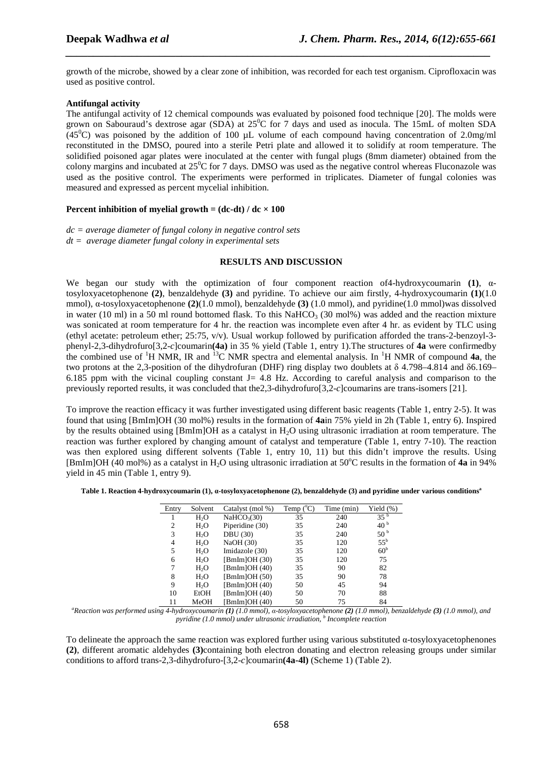growth of the microbe, showed by a clear zone of inhibition, was recorded for each test organism. Ciprofloxacin was used as positive control.

*\_\_\_\_\_\_\_\_\_\_\_\_\_\_\_\_\_\_\_\_\_\_\_\_\_\_\_\_\_\_\_\_\_\_\_\_\_\_\_\_\_\_\_\_\_\_\_\_\_\_\_\_\_\_\_\_\_\_\_\_\_\_\_\_\_\_\_\_\_\_\_\_\_\_\_\_\_*

## **Antifungal activity**

The antifungal activity of 12 chemical compounds was evaluated by poisoned food technique [20]. The molds were grown on Sabouraud's dextrose agar (SDA) at  $25^{\circ}$ C for 7 days and used as inocula. The 15mL of molten SDA (45<sup>0</sup>C) was poisoned by the addition of 100  $\mu$ L volume of each compound having concentration of 2.0mg/ml reconstituted in the DMSO, poured into a sterile Petri plate and allowed it to solidify at room temperature. The solidified poisoned agar plates were inoculated at the center with fungal plugs (8mm diameter) obtained from the colony margins and incubated at  $25\degree$ C for 7 days. DMSO was used as the negative control whereas Fluconazole was used as the positive control. The experiments were performed in triplicates. Diameter of fungal colonies was measured and expressed as percent mycelial inhibition.

## **Percent inhibition of myelial growth =**  $(dc-dt) / dc \times 100$

*dc = average diameter of fungal colony in negative control sets dt = average diameter fungal colony in experimental sets* 

### **RESULTS AND DISCUSSION**

We began our study with the optimization of four component reaction of4-hydroxycoumarin **(1)**, αtosyloxyacetophenone **(2)**, benzaldehyde **(3)** and pyridine. To achieve our aim firstly, 4-hydroxycoumarin **(1)**(1.0 mmol), α-tosyloxyacetophenone **(2)**(1.0 mmol), benzaldehyde **(3)** (1.0 mmol), and pyridine(1.0 mmol)was dissolved in water (10 ml) in a 50 ml round bottomed flask. To this NaHCO<sub>3</sub> (30 mol%) was added and the reaction mixture was sonicated at room temperature for 4 hr. the reaction was incomplete even after 4 hr. as evident by TLC using (ethyl acetate: petroleum ether; 25:75, v/v). Usual workup followed by purification afforded the trans-2-benzoyl-3 phenyl-2,3-dihydrofuro[3,2-*c*]coumarin**(4a)** in 35 % yield (Table 1, entry 1).The structures of **4a** were confirmedby the combined use of <sup>1</sup>H NMR, IR and <sup>13</sup>C NMR spectra and elemental analysis. In <sup>1</sup>H NMR of compound **4a**, the two protons at the 2,3-position of the dihydrofuran (DHF) ring display two doublets at δ 4.798–4.814 and δ6.169– 6.185 ppm with the vicinal coupling constant  $J = 4.8$  Hz. According to careful analysis and comparison to the previously reported results, it was concluded that the2,3-dihydrofuro[3,2-*c*]coumarins are trans-isomers [21].

To improve the reaction efficacy it was further investigated using different basic reagents (Table 1, entry 2-5). It was found that using [BmIm]OH (30 mol%) results in the formation of **4a**in 75% yield in 2h (Table 1, entry 6). Inspired by the results obtained using [BmIm]OH as a catalyst in H2O using ultrasonic irradiation at room temperature. The reaction was further explored by changing amount of catalyst and temperature (Table 1, entry 7-10). The reaction was then explored using different solvents (Table 1, entry 10, 11) but this didn't improve the results. Using [BmIm]OH (40 mol%) as a catalyst in H<sub>2</sub>O using ultrasonic irradiation at 50°C results in the formation of 4a in 94% yield in 45 min (Table 1, entry 9).

| Table 1. Reaction 4-hydroxycoumarin (1), a-tosyloxyacetophenone (2), benzaldehyde (3) and pyridine under various conditions <sup>a</sup> |  |  |  |
|------------------------------------------------------------------------------------------------------------------------------------------|--|--|--|
|------------------------------------------------------------------------------------------------------------------------------------------|--|--|--|

| Entry          | Solvent          | Catalyst (mol %)        | Temp ( <sup>o</sup> C | Time (min) | Yield (%)       |
|----------------|------------------|-------------------------|-----------------------|------------|-----------------|
|                | H <sub>2</sub> O | NaHCO <sub>3</sub> (30) | 35                    | 240        | 35 <sup>b</sup> |
| 2              | $H_2O$           | Piperidine (30)         | 35                    | 240        | 40 <sup>b</sup> |
| 3              | H <sub>2</sub> O | <b>DBU</b> (30)         | 35                    | 240        | 50 <sup>b</sup> |
| $\overline{4}$ | H <sub>2</sub> O | NaOH (30)               | 35                    | 120        | $55^{\rm b}$    |
| 5              | H <sub>2</sub> O | Imidazole (30)          | 35                    | 120        | 60 <sup>b</sup> |
| 6              | H <sub>2</sub> O | [BmIm]OH(30)            | 35                    | 120        | 75              |
| 7              | H <sub>2</sub> O | [BmIm]OH $(40)$         | 35                    | 90         | 82              |
| 8              | H <sub>2</sub> O | [BmIm]OH(50)            | 35                    | 90         | 78              |
| 9              | H <sub>2</sub> O | [BmIm]OH $(40)$         | 50                    | 45         | 94              |
| 10             | EtOH             | [BmIm]OH $(40)$         | 50                    | 70         | 88              |
| 11             | MeOH             | BmIm]OH(40)             | 50                    | 75         | 84              |

*<sup>a</sup>Reaction was performed using 4-hydroxycoumarin (1) (1.0 mmol), α-tosyloxyacetophenone (2) (1.0 mmol), benzaldehyde (3) (1.0 mmol), and pyridine (1.0 mmol) under ultrasonic irradiation, <sup>b</sup> Incomplete reaction* 

To delineate the approach the same reaction was explored further using various substituted α-tosyloxyacetophenones **(2)**, different aromatic aldehydes **(3)**containing both electron donating and electron releasing groups under similar conditions to afford trans-2,3-dihydrofuro-[3,2-*c*]coumarin**(4a-4l)** (Scheme 1) (Table 2).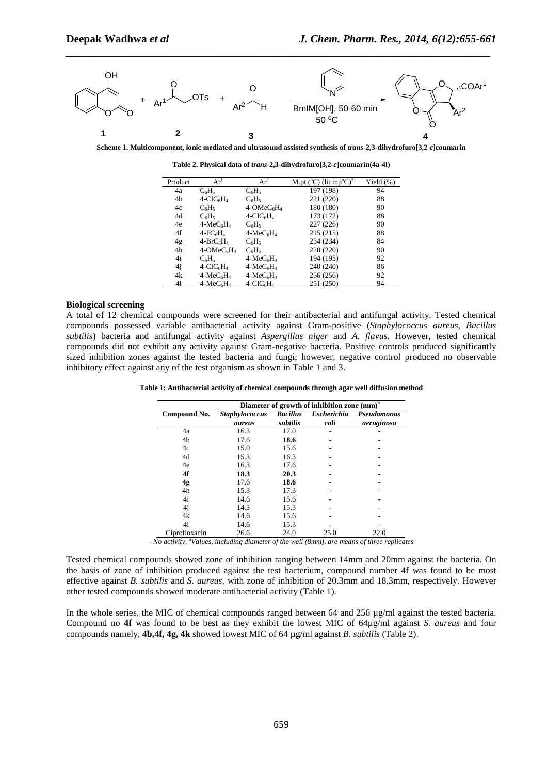

*\_\_\_\_\_\_\_\_\_\_\_\_\_\_\_\_\_\_\_\_\_\_\_\_\_\_\_\_\_\_\_\_\_\_\_\_\_\_\_\_\_\_\_\_\_\_\_\_\_\_\_\_\_\_\_\_\_\_\_\_\_\_\_\_\_\_\_\_\_\_\_\_\_\_\_\_\_*

**Scheme 1. Multicomponent, ionic mediated and ultrasound assisted synthesis of** *trans***-2,3-dihydrofuro[3,2-***c***]coumarin** 

**Table 2. Physical data of** *trans***-2,3-dihydrofuro[3,2-***c***]coumarin(4a-4l)** 

| Product | $Ar^1$                               | $Ar^2$                               | M.pt ( $^{\circ}$ C) (lit mp $^{\circ}$ C) <sup>21</sup> | Yield $(\%)$ |
|---------|--------------------------------------|--------------------------------------|----------------------------------------------------------|--------------|
| 4a      | $C_6H_5$                             | $C_6H_5$                             | 197 (198)                                                | 94           |
| 4b      | $4-CIC6H4$                           | $C_6H_5$                             | 221 (220)                                                | 88           |
| 4c      | $C_6H_5$                             | $4$ -OMe $C_6H_4$                    | 180 (180)                                                | 90           |
| 4d      | $C_6H_5$                             | $4$ -ClC <sub>6</sub> H <sub>4</sub> | 173 (172)                                                | 88           |
| 4e      | $4-MeC6H4$                           | C <sub>6</sub> H <sub>5</sub>        | 227 (226)                                                | 90           |
| 4f      | $4$ -FC $_6$ H <sub>4</sub>          | $4-MeC6H4$                           | 215(215)                                                 | 88           |
| 4g      | $4-BrC_6H_4$                         | C <sub>6</sub> H <sub>5</sub>        | 234 (234)                                                | 84           |
| 4h      | $4$ -OMe $C_6H_4$                    | $C_6H_5$                             | 220 (220)                                                | 90           |
| 4i      | $C_6H_5$                             | $4-MeC6H4$                           | 194 (195)                                                | 92           |
| 4j      | $4$ -ClC <sub>6</sub> H <sub>4</sub> | $4-MeC6H4$                           | 240 (240)                                                | 86           |
| 4k      | $4-MeC6H4$                           | $4-MeC6H4$                           | 256 (256)                                                | 92           |
| 41      | $4-MeC6H4$                           | $4-CIC6H4$                           | 251 (250)                                                | 94           |

#### **Biological screening**

A total of 12 chemical compounds were screened for their antibacterial and antifungal activity. Tested chemical compounds possessed variable antibacterial activity against Gram-positive (*Staphylococcus aureus, Bacillus subtilis*) bacteria and antifungal activity against *Aspergillus niger* and *A. flavus.* However, tested chemical compounds did not exhibit any activity against Gram-negative bacteria. Positive controls produced significantly sized inhibition zones against the tested bacteria and fungi; however, negative control produced no observable inhibitory effect against any of the test organism as shown in Table 1 and 3.

**Table 1: Antibacterial activity of chemical compounds through agar well diffusion method** 

|               | Diameter of growth of inhibition zone (mm) <sup>a</sup> |                             |                            |                           |
|---------------|---------------------------------------------------------|-----------------------------|----------------------------|---------------------------|
| Compound No.  | <b>Staphylococcus</b><br>aureus                         | <b>Bacillus</b><br>subtilis | <b>Escherichia</b><br>coli | Pseudomonas<br>aeruginosa |
| 4a            | 16.3                                                    | 17.0                        |                            |                           |
| 4b            | 17.6                                                    | 18.6                        |                            |                           |
| 4c            | 15.0                                                    | 15.6                        |                            |                           |
| 4d            | 15.3                                                    | 16.3                        |                            |                           |
| 4e            | 16.3                                                    | 17.6                        |                            |                           |
| 4f            | 18.3                                                    | 20.3                        |                            |                           |
| 4g            | 17.6                                                    | 18.6                        |                            |                           |
| 4h            | 15.3                                                    | 17.3                        |                            |                           |
| 4i            | 14.6                                                    | 15.6                        |                            |                           |
| 4j            | 14.3                                                    | 15.3                        |                            |                           |
| 4k            | 14.6                                                    | 15.6                        |                            |                           |
| 41            | 14.6                                                    | 15.3                        |                            |                           |
| Ciprofloxacin | 26.6                                                    | 24.0                        | 25.0                       | 22.0                      |

*- No activity, <sup>a</sup>Values, including diameter of the well (8mm), are means of three replicates* 

Tested chemical compounds showed zone of inhibition ranging between 14mm and 20mm against the bacteria. On the basis of zone of inhibition produced against the test bacterium, compound number 4f was found to be most effective against *B. subtilis* and *S. aureus*, with zone of inhibition of 20.3mm and 18.3mm, respectively. However other tested compounds showed moderate antibacterial activity (Table 1).

In the whole series, the MIC of chemical compounds ranged between 64 and  $256 \mu g/ml$  against the tested bacteria. Compound no **4f** was found to be best as they exhibit the lowest MIC of 64µg/ml against *S. aureus* and four compounds namely, **4b,4f, 4g, 4k** showed lowest MIC of 64 µg/ml against *B. subtilis* (Table 2).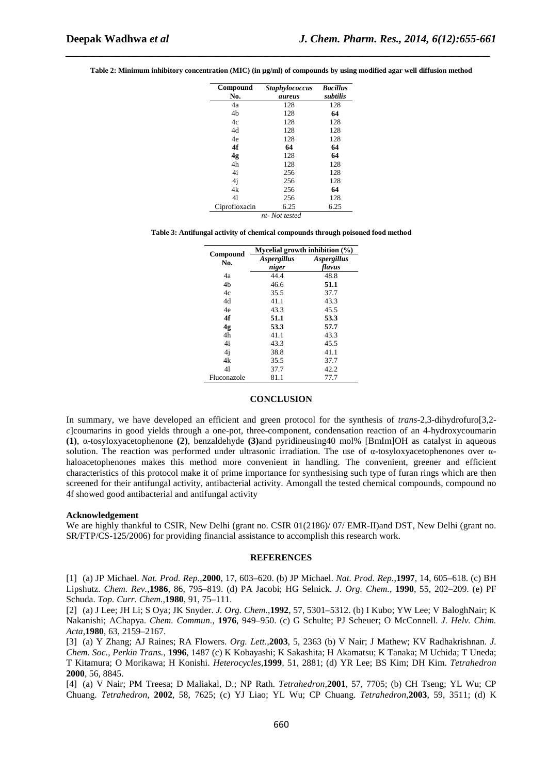| Compound      | <b>Staphylococcus</b> | <b>Bacillus</b> |
|---------------|-----------------------|-----------------|
| No.           | aureus                | subtilis        |
| 4a            | 128                   | 128             |
| 4b            | 128                   | 64              |
| 4c            | 128                   | 128             |
| 4d            | 128                   | 128             |
| 4e            | 128                   | 128             |
| 4f            | 64                    | 64              |
| 4g            | 128                   | 64              |
| 4h            | 128                   | 128             |
| 4i            | 256                   | 128             |
| 4j            | 256                   | 128             |
| 4k            | 256                   | 64              |
| 41            | 256                   | 128             |
| Ciprofloxacin | 6.25<br>$\cdots$      | 6.25            |

**Table 2: Minimum inhibitory concentration (MIC) (in µg/ml) of compounds by using modified agar well diffusion method** 

*\_\_\_\_\_\_\_\_\_\_\_\_\_\_\_\_\_\_\_\_\_\_\_\_\_\_\_\_\_\_\_\_\_\_\_\_\_\_\_\_\_\_\_\_\_\_\_\_\_\_\_\_\_\_\_\_\_\_\_\_\_\_\_\_\_\_\_\_\_\_\_\_\_\_\_\_\_*

*nt- Not tested* 

**Table 3: Antifungal activity of chemical compounds through poisoned food method** 

|                 | Mycelial growth inhibition $(\%)$ |                           |  |
|-----------------|-----------------------------------|---------------------------|--|
| Compound<br>No. | <i><b>Aspergillus</b></i>         | <i><b>Aspergillus</b></i> |  |
|                 | niger                             | flavus                    |  |
| 4a              | 44.4                              | 48.8                      |  |
| 4b              | 46.6                              | 51.1                      |  |
| 4c              | 35.5                              | 37.7                      |  |
| 4d              | 41.1                              | 43.3                      |  |
| 4e              | 43.3                              | 45.5                      |  |
| 4f              | 51.1                              | 53.3                      |  |
| 4g              | 53.3                              | 57.7                      |  |
| 4h              | 41.1                              | 43.3                      |  |
| 4i              | 43.3                              | 45.5                      |  |
| 4j              | 38.8                              | 41.1                      |  |
| 4k              | 35.5                              | 37.7                      |  |
| 41              | 37.7                              | 42.2                      |  |
| Fluconazole     | 81.1                              | 77.7                      |  |

#### **CONCLUSION**

In summary, we have developed an efficient and green protocol for the synthesis of *trans*-2,3-dihydrofuro[3,2 *c*]coumarins in good yields through a one-pot, three-component, condensation reaction of an 4-hydroxycoumarin **(1)**, α-tosyloxyacetophenone **(2)**, benzaldehyde **(3)**and pyridineusing40 mol% [BmIm]OH as catalyst in aqueous solution. The reaction was performed under ultrasonic irradiation. The use of α-tosyloxyacetophenones over αhaloacetophenones makes this method more convenient in handling. The convenient, greener and efficient characteristics of this protocol make it of prime importance for synthesising such type of furan rings which are then screened for their antifungal activity, antibacterial activity. Amongall the tested chemical compounds, compound no 4f showed good antibacterial and antifungal activity

#### **Acknowledgement**

We are highly thankful to CSIR, New Delhi (grant no. CSIR 01(2186)/ 07/ EMR-II)and DST, New Delhi (grant no. SR/FTP/CS-125/2006) for providing financial assistance to accomplish this research work.

#### **REFERENCES**

[1] (a) JP Michael. *Nat. Prod. Rep.,***2000**, 17, 603–620. (b) JP Michael. *Nat. Prod. Rep.,***1997**, 14, 605–618. (c) BH Lipshutz. *Chem. Rev.,***1986**, 86, 795–819. (d) PA Jacobi; HG Selnick. *J. Org. Chem.,* **1990**, 55, 202–209. (e) PF Schuda. *Top. Curr. Chem.,***1980**, 91, 75–111.

[2] (a) J Lee; JH Li; S Oya; JK Snyder. *J. Org. Chem.*,**1992**, 57, 5301–5312. (b) I Kubo; YW Lee; V BaloghNair; K Nakanishi; AChapya. *Chem. Commun.,* **1976**, 949–950. (c) G Schulte; PJ Scheuer; O McConnell. *J. Helv. Chim. Acta*,**1980**, 63, 2159–2167.

[3] (a) Y Zhang; AJ Raines; RA Flowers. *Org. Lett.,***2003**, 5, 2363 (b) V Nair; J Mathew; KV Radhakrishnan. *J. Chem. Soc., Perkin Trans.*, **1996**, 1487 (c) K Kobayashi; K Sakashita; H Akamatsu; K Tanaka; M Uchida; T Uneda; T Kitamura; O Morikawa; H Konishi. *Heterocycles,***1999**, 51, 2881; (d) YR Lee; BS Kim; DH Kim. *Tetrahedron*  **2000**, 56, 8845.

[4] (a) V Nair; PM Treesa; D Maliakal, D.; NP Rath. *Tetrahedron,***2001**, 57, 7705; (b) CH Tseng; YL Wu; CP Chuang. *Tetrahedron*, **2002**, 58, 7625; (c) YJ Liao; YL Wu; CP Chuang. *Tetrahedron,***2003**, 59, 3511; (d) K